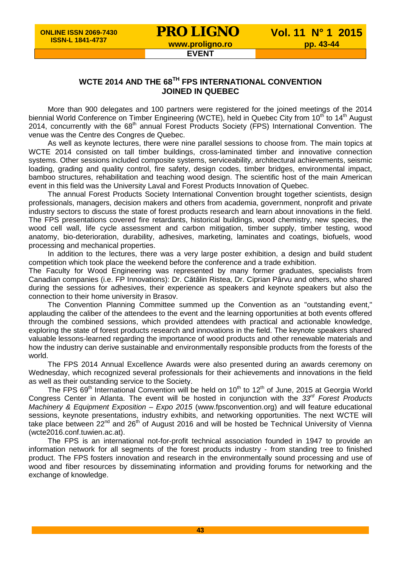## **WCTE 2014 AND THE 68TH FPS INTERNATIONAL CONVENTION JOINED IN QUEBEC**

More than 900 delegates and 100 partners were registered for the joined meetings of the 2014 biennial World Conference on Timber Engineering (WCTE), held in Quebec City from 10<sup>th</sup> to 14<sup>th</sup> August 2014, concurrently with the 68<sup>th</sup> annual Forest Products Society (FPS) International Convention. The venue was the Centre des Congres de Quebec.

As well as keynote lectures, there were nine parallel sessions to choose from. The main topics at WCTE 2014 consisted on tall timber buildings, cross-laminated timber and innovative connection systems. Other sessions included composite systems, serviceability, architectural achievements, seismic loading, grading and quality control, fire safety, design codes, timber bridges, environmental impact, bamboo structures, rehabilitation and teaching wood design. The scientific host of the main American event in this field was the University Laval and Forest Products Innovation of Quebec.

The annual Forest Products Society International Convention brought together scientists, design professionals, managers, decision makers and others from academia, government, nonprofit and private industry sectors to discuss the state of forest products research and learn about innovations in the field. The FPS presentations covered fire retardants, historical buildings, wood chemistry, new species, the wood cell wall, life cycle assessment and carbon mitigation, timber supply, timber testing, wood anatomy, bio-deterioration, durability, adhesives, marketing, laminates and coatings, biofuels, wood processing and mechanical properties.

In addition to the lectures, there was a very large poster exhibition, a design and build student competition which took place the weekend before the conference and a trade exhibition.

The Faculty for Wood Engineering was represented by many former graduates, specialists from Canadian companies (i.e. FP Innovations): Dr. Cătălin Ristea, Dr. Ciprian Pârvu and others, who shared during the sessions for adhesives, their experience as speakers and keynote speakers but also the connection to their home university in Brasov.

The Convention Planning Committee summed up the Convention as an "outstanding event," applauding the caliber of the attendees to the event and the learning opportunities at both events offered through the combined sessions, which provided attendees with practical and actionable knowledge, exploring the state of forest products research and innovations in the field. The keynote speakers shared valuable lessons-learned regarding the importance of wood products and other renewable materials and how the industry can derive sustainable and environmentally responsible products from the forests of the world.

The FPS 2014 Annual Excellence Awards were also presented during an awards ceremony on Wednesday, which recognized several professionals for their achievements and innovations in the field as well as their outstanding service to the Society.

The FPS 69<sup>th</sup> International Convention will be held on 10<sup>th</sup> to 12<sup>th</sup> of June, 2015 at Georgia World Congress Center in Atlanta. The event will be hosted in conjunction with the *33rd Forest Products Machinery & Equipment Exposition – Expo 2015* (www.fpsconvention.org) and will feature educational sessions, keynote presentations, industry exhibits, and networking opportunities. The next WCTE will take place between 22<sup>nd</sup> and 26<sup>th</sup> of August 2016 and will be hosted be Technical University of Vienna (wcte2016.conf.tuwien.ac.at).

The FPS is an international not-for-profit technical association founded in 1947 to provide an information network for all segments of the forest products industry - from standing tree to finished product. The FPS fosters innovation and research in the environmentally sound processing and use of wood and fiber resources by disseminating information and providing forums for networking and the exchange of knowledge.